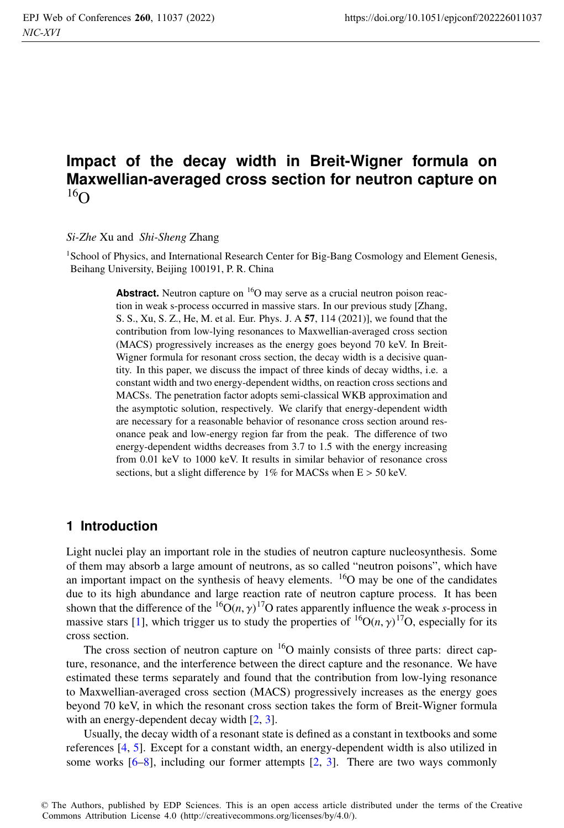# **Impact of the decay width in Breit-Wigner formula on Maxwellian-averaged cross section for neutron capture on**  $16\Omega$

#### *Si-Zhe* Xu and *Shi-Sheng* Zhang

<sup>1</sup>School of Physics, and International Research Center for Big-Bang Cosmology and Element Genesis, Beihang University, Beijing 100191, P. R. China

> **Abstract.** Neutron capture on <sup>16</sup>O may serve as a crucial neutron poison reaction in weak s-process occurred in massive stars. In our previous study [Zhang, S. S., Xu, S. Z., He, M. et al. Eur. Phys. J. A 57, 114 (2021)], we found that the contribution from low-lying resonances to Maxwellian-averaged cross section (MACS) progressively increases as the energy goes beyond 70 keV. In Breit-Wigner formula for resonant cross section, the decay width is a decisive quantity. In this paper, we discuss the impact of three kinds of decay widths, i.e. a constant width and two energy-dependent widths, on reaction cross sections and MACSs. The penetration factor adopts semi-classical WKB approximation and the asymptotic solution, respectively. We clarify that energy-dependent width are necessary for a reasonable behavior of resonance cross section around resonance peak and low-energy region far from the peak. The difference of two energy-dependent widths decreases from 3.7 to 1.5 with the energy increasing from 0.01 keV to 1000 keV. It results in similar behavior of resonance cross sections, but a slight difference by  $1\%$  for MACSs when  $E > 50$  keV.

# **1 Introduction**

Light nuclei play an important role in the studies of neutron capture nucleosynthesis. Some of them may absorb a large amount of neutrons, as so called "neutron poisons", which have an important impact on the synthesis of heavy elements. 16O may be one of the candidates due to its high abundance and large reaction rate of neutron capture process. It has been shown that the difference of the  ${}^{16}O(n, \gamma)$ <sup>17</sup>O rates apparently influence the weak *s*-process in massive stars [1], which trigger us to study the properties of  ${}^{16}O(n, \gamma)$ <sup>17</sup>O, especially for its cross section.

The cross section of neutron capture on  $16O$  mainly consists of three parts: direct capture, resonance, and the interference between the direct capture and the resonance. We have estimated these terms separately and found that the contribution from low-lying resonance to Maxwellian-averaged cross section (MACS) progressively increases as the energy goes beyond 70 keV, in which the resonant cross section takes the form of Breit-Wigner formula with an energy-dependent decay width [2, 3].

Usually, the decay width of a resonant state is defined as a constant in textbooks and some references [4, 5]. Except for a constant width, an energy-dependent width is also utilized in some works  $[6-8]$ , including our former attempts  $[2, 3]$ . There are two ways commonly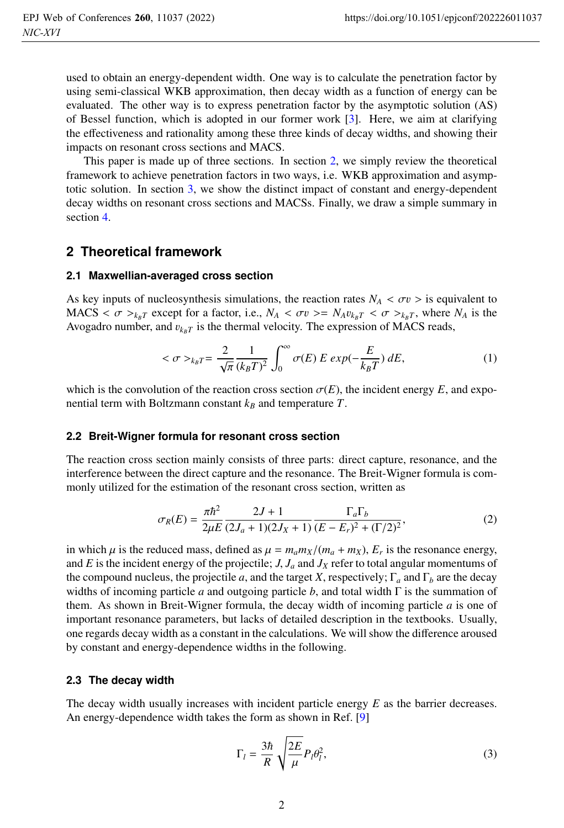used to obtain an energy-dependent width. One way is to calculate the penetration factor by using semi-classical WKB approximation, then decay width as a function of energy can be evaluated. The other way is to express penetration factor by the asymptotic solution (AS) of Bessel function, which is adopted in our former work [3]. Here, we aim at clarifying the effectiveness and rationality among these three kinds of decay widths, and showing their impacts on resonant cross sections and MACS.

This paper is made up of three sections. In section 2, we simply review the theoretical framework to achieve penetration factors in two ways, i.e. WKB approximation and asymptotic solution. In section 3, we show the distinct impact of constant and energy-dependent decay widths on resonant cross sections and MACSs. Finally, we draw a simple summary in section 4.

# **2 Theoretical framework**

### **2.1 Maxwellian-averaged cross section**

As key inputs of nucleosynthesis simulations, the reaction rates  $N_A < \sigma v > i$  sequivalent to MACS  $< \sigma$  ><sub>*k<sub>BT</sub>*</sub> except for a factor, i.e.,  $N_A < \sigma v$  >=  $N_A v_{k_B T} < \sigma$  ><sub>*k<sub>BT</sub>*, where  $N_A$  is the</sub> Avogadro number, and  $v_{k_BT}$  is the thermal velocity. The expression of MACS reads,

$$
\langle \sigma \rangle_{k_B T} = \frac{2}{\sqrt{\pi}} \frac{1}{(k_B T)^2} \int_0^\infty \sigma(E) \ E \ exp(-\frac{E}{k_B T}) \ dE, \tag{1}
$$

which is the convolution of the reaction cross section  $\sigma(E)$ , the incident energy E, and exponential term with Boltzmann constant  $k_B$  and temperature  $T$ .

### **2.2 Breit-Wigner formula for resonant cross section**

The reaction cross section mainly consists of three parts: direct capture, resonance, and the interference between the direct capture and the resonance. The Breit-Wigner formula is commonly utilized for the estimation of the resonant cross section, written as

$$
\sigma_R(E) = \frac{\pi \hbar^2}{2\mu E} \frac{2J + 1}{(2J_a + 1)(2J_X + 1)} \frac{\Gamma_a \Gamma_b}{(E - E_r)^2 + (\Gamma/2)^2},\tag{2}
$$

in which  $\mu$  is the reduced mass, defined as  $\mu = m_a m_X/(m_a + m_X)$ ,  $E_r$  is the resonance energy, and *E* is the incident energy of the projectile; *J*,  $J_a$  and  $J_x$  refer to total angular momentums of the compound nucleus, the projectile *a*, and the target *X*, respectively;  $\Gamma_a$  and  $\Gamma_b$  are the decay widths of incoming particle *a* and outgoing particle *b*, and total width Γ is the summation of them. As shown in Breit-Wigner formula, the decay width of incoming particle *a* is one of important resonance parameters, but lacks of detailed description in the textbooks. Usually, one regards decay width as a constant in the calculations. We will show the difference aroused by constant and energy-dependence widths in the following.

### **2.3 The decay width**

The decay width usually increases with incident particle energy *E* as the barrier decreases. An energy-dependence width takes the form as shown in Ref. [9]

$$
\Gamma_l = \frac{3\hbar}{R} \sqrt{\frac{2E}{\mu}} P_l \theta_l^2,\tag{3}
$$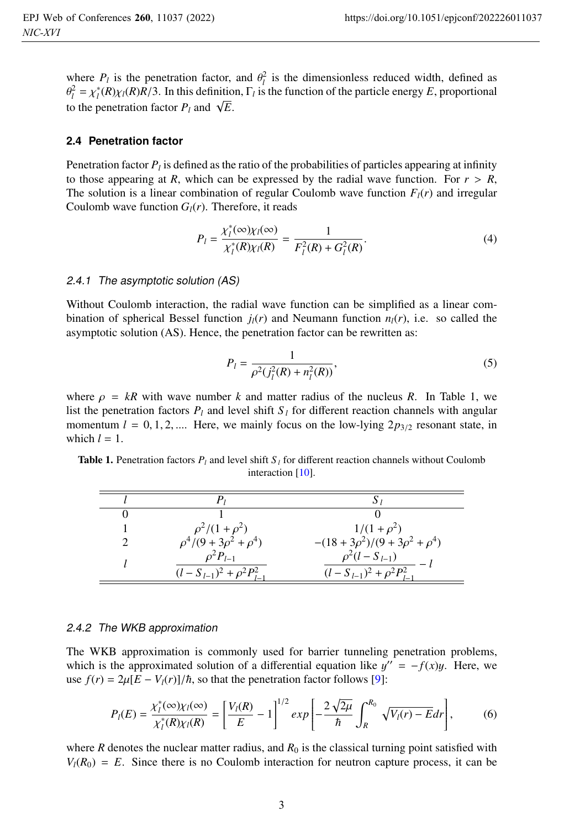where  $P_l$  is the penetration factor, and  $\theta_l^2$  is the dimensionless reduced width, defined as  $\theta_l^2 = \chi_l^*(R)\chi_l(R)R/3$ . In this definition,  $\Gamma_l$  is the function of the particle energy *E*, proportional to the penetration factor  $P_l$  and  $\sqrt{E}$ .

### **2.4 Penetration factor**

Penetration factor *Pl* is defined as the ratio of the probabilities of particles appearing at infinity to those appearing at *R*, which can be expressed by the radial wave function. For  $r > R$ , The solution is a linear combination of regular Coulomb wave function  $F_l(r)$  and irregular Coulomb wave function  $G_l(r)$ . Therefore, it reads

$$
P_l = \frac{\chi_l^*(\infty)\chi_l(\infty)}{\chi_l^*(R)\chi_l(R)} = \frac{1}{F_l^2(R) + G_l^2(R)}.
$$
\n(4)

#### 2.4.1 The asymptotic solution (AS)

Without Coulomb interaction, the radial wave function can be simplified as a linear combination of spherical Bessel function  $j_l(r)$  and Neumann function  $n_l(r)$ , i.e. so called the asymptotic solution (AS). Hence, the penetration factor can be rewritten as:

$$
P_l = \frac{1}{\rho^2(j_l^2(R) + n_l^2(R))},\tag{5}
$$

where  $\rho = kR$  with wave number k and matter radius of the nucleus R. In Table 1, we list the penetration factors  $P_l$  and level shift  $S_l$  for different reaction channels with angular momentum  $l = 0, 1, 2, \dots$  Here, we mainly focus on the low-lying  $2p_{3/2}$  resonant state, in which  $l = 1$ .

**Table 1.** Penetration factors  $P_l$  and level shift  $S_l$  for different reaction channels without Coulomb interaction [10].

| $\rho^2/(1+\rho^2)$                                     | $1/(1+\rho^2)$                                              |
|---------------------------------------------------------|-------------------------------------------------------------|
| $\rho^4/(9+3\rho^2+\rho^4)$                             | $-(18+3\rho^2)/(9+3\rho^2+\rho^4)$                          |
| $\rho^2 P_{l-1}$<br>$(l - S_{l-1})^2 + \rho^2 P_{l-}^2$ | $\rho^2(l-S_{l-1})$<br>$(l - S_{l-1})^2 + \rho^2 P_{l-1}^2$ |

#### 2.4.2 The WKB approximation

The WKB approximation is commonly used for barrier tunneling penetration problems, which is the approximated solution of a differential equation like  $y'' = -f(x)y$ . Here, we use  $f(r) = 2\mu \left[\frac{E - V_l(r)}{\hbar}\right]$ , so that the penetration factor follows [9]:

$$
P_{l}(E) = \frac{\chi_{l}^{*}(\infty)\chi_{l}(\infty)}{\chi_{l}^{*}(R)\chi_{l}(R)} = \left[\frac{V_{l}(R)}{E} - 1\right]^{1/2} exp\left[-\frac{2\sqrt{2\mu}}{\hbar} \int_{R}^{R_{0}} \sqrt{V_{l}(r) - E} dr\right],
$$
 (6)

where *R* denotes the nuclear matter radius, and  $R_0$  is the classical turning point satisfied with  $V_l(R_0) = E$ . Since there is no Coulomb interaction for neutron capture process, it can be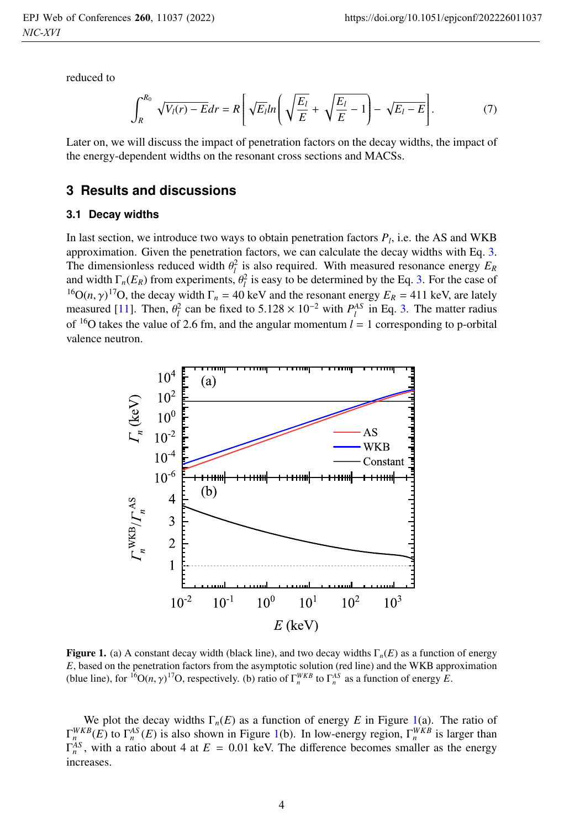reduced to

$$
\int_{R}^{R_{0}} \sqrt{V_{l}(r) - E} dr = R \left[ \sqrt{E_{l}} ln \left( \sqrt{\frac{E_{l}}{E}} + \sqrt{\frac{E_{l}}{E} - 1} \right) - \sqrt{E_{l} - E} \right].
$$
 (7)

Later on, we will discuss the impact of penetration factors on the decay widths, the impact of the energy-dependent widths on the resonant cross sections and MACSs.

# **3 Results and discussions**

#### **3.1 Decay widths**

In last section, we introduce two ways to obtain penetration factors  $P_l$ , i.e. the AS and WKB approximation. Given the penetration factors, we can calculate the decay widths with Eq. 3. The dimensionless reduced width  $\theta_l^2$  is also required. With measured resonance energy  $E_R$ and width  $\Gamma_n(E_R)$  from experiments,  $\theta_l^2$  is easy to be determined by the Eq. 3. For the case of <sup>16</sup>O(*n*,  $\gamma$ )<sup>17</sup>O, the decay width  $\Gamma_n$  = 40 keV and the resonant energy  $E_R$  = 411 keV, are lately measured [11]. Then,  $\theta_l^2$  can be fixed to 5.128 × 10<sup>-2</sup> with  $P_l^{AS}$  in Eq. 3. The matter radius of <sup>16</sup>O takes the value of 2.6 fm, and the angular momentum  $l = 1$  corresponding to p-orbital valence neutron.



Figure 1. (a) A constant decay width (black line), and two decay widths <sup>Γ</sup>*n*(*E*) as a function of energy *E*, based on the penetration factors from the asymptotic solution (red line) and the WKB approximation (blue line), for <sup>16</sup>O(*n*,  $\gamma$ )<sup>17</sup>O, respectively. (b) ratio of  $\Gamma_n^{WKB}$  to  $\Gamma_n^{AS}$  as a function of energy *E*.

We plot the decay widths  $\Gamma_n(E)$  as a function of energy *E* in Figure 1(a). The ratio of  $\Gamma_n^{WKB}(E)$  to  $\Gamma_n^{AS}(E)$  is also shown in Figure 1(b). In low-energy region,  $\Gamma_n^{WKB}$  is larger than  $\Gamma_n^{AS}$ , with a ratio about 4 at  $E = 0.01$  keV. The difference becomes smaller as the energy increases.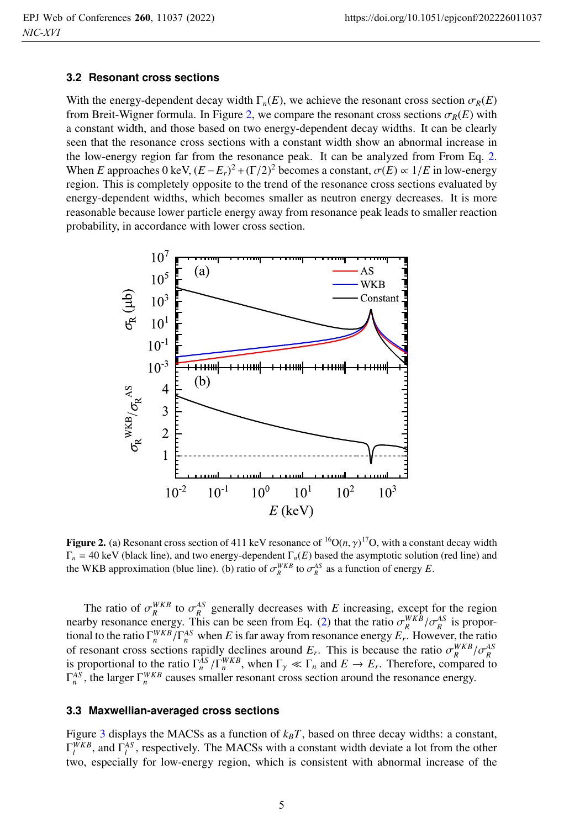### **3.2 Resonant cross sections**

With the energy-dependent decay width  $\Gamma_n(E)$ , we achieve the resonant cross section  $\sigma_R(E)$ from Breit-Wigner formula. In Figure 2, we compare the resonant cross sections  $\sigma_R(E)$  with a constant width, and those based on two energy-dependent decay widths. It can be clearly seen that the resonance cross sections with a constant width show an abnormal increase in the low-energy region far from the resonance peak. It can be analyzed from From Eq. 2. When *E* approaches 0 keV,  $(E - E_r)^2 + (\Gamma/2)^2$  becomes a constant,  $\sigma(E) \propto 1/E$  in low-energy region. This is completely opposite to the trend of the resonance cross sections evaluated by energy-dependent widths, which becomes smaller as neutron energy decreases. It is more reasonable because lower particle energy away from resonance peak leads to smaller reaction probability, in accordance with lower cross section.



**Figure 2.** (a) Resonant cross section of 411 keV resonance of  ${}^{16}O(n, \gamma)^{17}O$ , with a constant decay width  $\Gamma = 40$  keV (black line) and two energy-dependent  $\Gamma$  (*F*) based the asymptotic solution (red line) and Γ*<sup>n</sup>* = 40 keV (black line), and two energy-dependent Γ*n*(*E*) based the asymptotic solution (red line) and the WKB approximation (blue line). (b) ratio of  $\sigma_R^{WKB}$  to  $\sigma_R^{AS}$  as a function of energy *E*.

The ratio of  $\sigma_R^{WKB}$  to  $\sigma_R^{AS}$  generally decreases with *E* increasing, except for the region nearby resonance energy. This can be seen from Eq. (2) that the ratio  $\sigma_R^{WKB}/\sigma_R^{AS}$  is proportional to the ratio  $\Gamma_n^{WKB}/\Gamma_n^{AS}$  when *E* is far away from resonance energy  $E_r$ . However, the ratio of resonant cross sections rapidly declines around  $E_r$ . This is because the ratio  $\sigma_R^{WKB}/\sigma_R^{AS}$ is proportional to the ratio  $\Gamma_n^{AS}/\Gamma_n^{WKB}$ , when  $\Gamma_\gamma \ll \Gamma_n$  and  $E \to E_r$ . Therefore, compared to  $\Gamma_n^{AS}$ , the larger  $\Gamma_n^{WKB}$  causes smaller resonant cross section around the resonance energy.

## **3.3 Maxwellian-averaged cross sections**

Figure 3 displays the MACSs as a function of  $k_B T$ , based on three decay widths: a constant,  $\Gamma_l^{WKB}$ , and  $\Gamma_l^{AS}$ , respectively. The MACSs with a constant width deviate a lot from the other two, especially for low-energy region, which is consistent with abnormal increase of the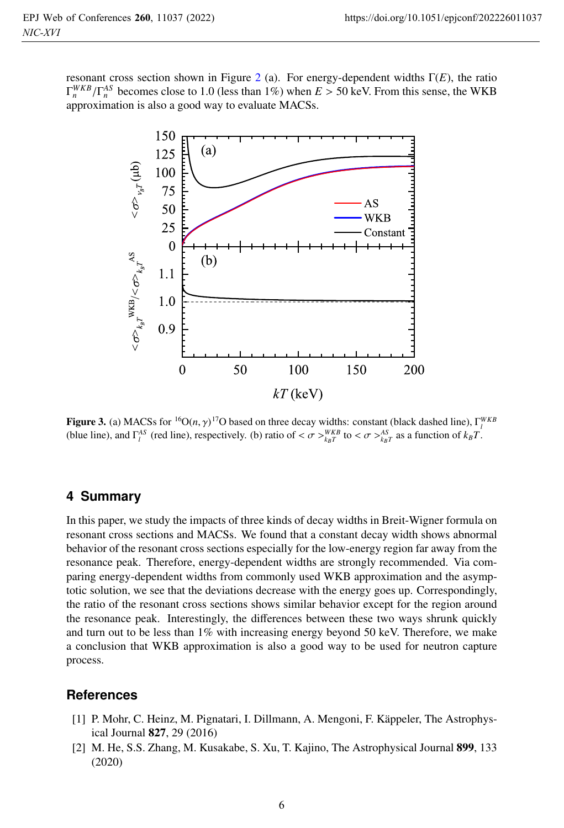resonant cross section shown in Figure 2 (a). For energy-dependent widths Γ(*E*), the ratio  $\Gamma_n^{WKB}/\Gamma_n^{AS}$  becomes close to 1.0 (less than 1%) when  $E > 50$  keV. From this sense, the WKB approximation is also a good way to evaluate MACSs.



**Figure 3.** (a) MACSs for <sup>16</sup>O(*n*,  $\gamma$ )<sup>17</sup>O based on three decay widths: constant (black dashed line), Γ<sup>*WKB*</sup><br>(blue line), and  $\Gamma^{AS}$  (red line), respectively, (b) ratio of  $\epsilon \pi \sqrt{WKB}$  to  $\epsilon \pi \sqrt{A^S}$ , as a funct (blue line), and  $\Gamma_l^{AS}$  (red line), respectively. (b) ratio of  $\langle \sigma \rangle_{kgT}^{WKB}$  to  $\langle \sigma \rangle_{kgT}^{AS}$  as a function of  $k_B T$ .

# **4 Summary**

In this paper, we study the impacts of three kinds of decay widths in Breit-Wigner formula on resonant cross sections and MACSs. We found that a constant decay width shows abnormal behavior of the resonant cross sections especially for the low-energy region far away from the resonance peak. Therefore, energy-dependent widths are strongly recommended. Via comparing energy-dependent widths from commonly used WKB approximation and the asymptotic solution, we see that the deviations decrease with the energy goes up. Correspondingly, the ratio of the resonant cross sections shows similar behavior except for the region around the resonance peak. Interestingly, the differences between these two ways shrunk quickly and turn out to be less than  $1\%$  with increasing energy beyond 50 keV. Therefore, we make a conclusion that WKB approximation is also a good way to be used for neutron capture process.

# **References**

- [1] P. Mohr, C. Heinz, M. Pignatari, I. Dillmann, A. Mengoni, F. Käppeler, The Astrophysical Journal 827, 29 (2016)
- [2] M. He, S.S. Zhang, M. Kusakabe, S. Xu, T. Kajino, The Astrophysical Journal 899, 133 (2020)